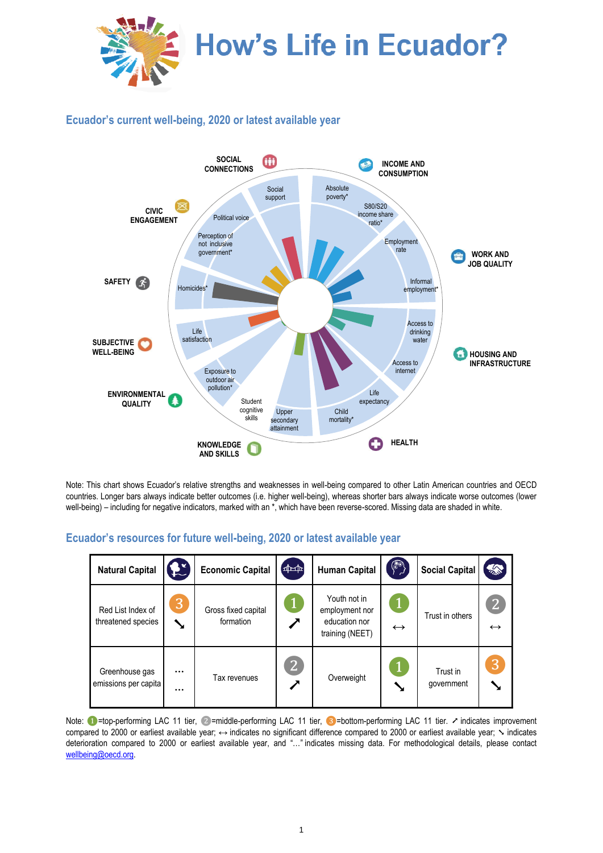

## **Ecuador's current well-being, 2020 or latest available year**



Note: This chart shows Ecuador's relative strengths and weaknesses in well-being compared to other Latin American countries and OECD countries. Longer bars always indicate better outcomes (i.e. higher well-being), whereas shorter bars always indicate worse outcomes (lower well-being) – including for negative indicators, marked with an \*, which have been reverse-scored. Missing data are shaded in white.

## **Ecuador's resources for future well-being, 2020 or latest available year**

| <b>Natural Capital</b>                  | £                    | <b>Economic Capital</b>          | $\left[ \frac{1}{2} \right]$ | <b>Human Capital</b>                                               |                   | <b>Social Capital</b>  | <b>ARCHITECTS</b>                   |
|-----------------------------------------|----------------------|----------------------------------|------------------------------|--------------------------------------------------------------------|-------------------|------------------------|-------------------------------------|
| Red List Index of<br>threatened species | 3<br>↘               | Gross fixed capital<br>formation | $\mathbf{1}$                 | Youth not in<br>employment nor<br>education nor<br>training (NEET) | $\leftrightarrow$ | Trust in others        | $\overline{2}$<br>$\leftrightarrow$ |
| Greenhouse gas<br>emissions per capita  | $\cdots$<br>$\cdots$ | Tax revenues                     | $\overline{2}$               | Overweight                                                         |                   | Trust in<br>government | 3                                   |

Note: ●=top-performing LAC 11 tier, ②=middle-performing LAC 11 tier, ③=bottom-performing LAC 11 tier. ↗ indicates improvement compared to 2000 or earliest available year; ↔ indicates no significant difference compared to 2000 or earliest available year;  $\sim$  indicates deterioration compared to 2000 or earliest available year, and "…" indicates missing data. For methodological details, please contact [wellbeing@oecd.org.](mailto:wellbeing@oecd.org)